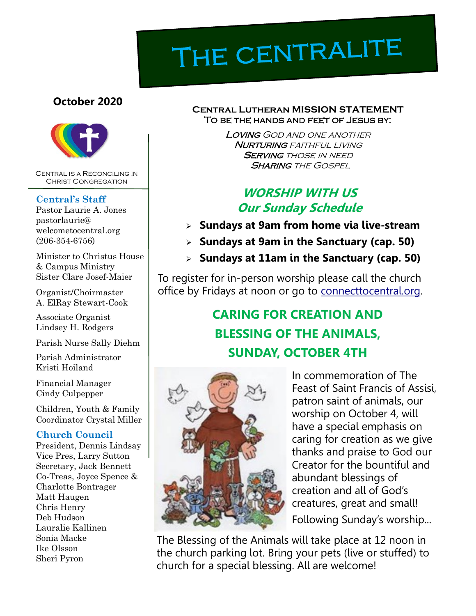# THE CENTRALITE

#### **October 2020**



Central is a Reconciling in Christ Congregation

#### **Central's Staff**

Pastor Laurie A. Jones pastorlaurie@ welcometocentral.org (206-354-6756)

Minister to Christus House & Campus Ministry Sister Clare Josef-Maier

Organist/Choirmaster A. ElRay Stewart-Cook

Associate Organist Lindsey H. Rodgers

Parish Nurse Sally Diehm

Parish Administrator Kristi Hoiland

Financial Manager Cindy Culpepper

Children, Youth & Family Coordinator Crystal Miller

#### **Church Council**

President, Dennis Lindsay Vice Pres, Larry Sutton Secretary, Jack Bennett Co-Treas, Joyce Spence & Charlotte Bontrager Matt Haugen Chris Henry Deb Hudson Lauralie Kallinen Sonia Macke Ike Olsson Sheri Pyron

#### **Central Lutheran MISSION STATEMENT** To be the hands and feet of Jesus by:

Loving God and one another **NURTURING** FAITHFUL LIVING **SERVING THOSE IN NEED SHARING THE GOSPEL** 

# **WORSHIP WITH US Our Sunday Schedule**

- ➢ **Sundays at 9am from home via live-stream**
- ➢ **Sundays at 9am in the Sanctuary (cap. 50)**
- ➢ **Sundays at 11am in the Sanctuary (cap. 50)**

To register for in-person worship please call the church office by Fridays at noon or go to connecttocentral.org.

# **CARING FOR CREATION AND BLESSING OF THE ANIMALS, SUNDAY, OCTOBER 4TH**



In commemoration of The Feast of Saint Francis of Assisi, patron saint of animals, our worship on October 4, will have a special emphasis on caring for creation as we give thanks and praise to God our Creator for the bountiful and abundant blessings of creation and all of God's creatures, great and small! Following Sunday's worship...

The Blessing of the Animals will take place at 12 noon in the church parking lot. Bring your pets (live or stuffed) to church for a special blessing. All are welcome!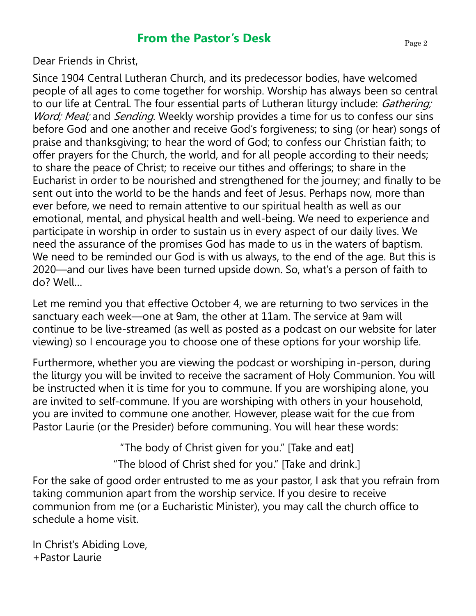## **From the Pastor's Desk**

Dear Friends in Christ,

Since 1904 Central Lutheran Church, and its predecessor bodies, have welcomed people of all ages to come together for worship. Worship has always been so central to our life at Central. The four essential parts of Lutheran liturgy include: Gathering; Word; Meal; and Sending. Weekly worship provides a time for us to confess our sins before God and one another and receive God's forgiveness; to sing (or hear) songs of praise and thanksgiving; to hear the word of God; to confess our Christian faith; to offer prayers for the Church, the world, and for all people according to their needs; to share the peace of Christ; to receive our tithes and offerings; to share in the Eucharist in order to be nourished and strengthened for the journey; and finally to be sent out into the world to be the hands and feet of Jesus. Perhaps now, more than ever before, we need to remain attentive to our spiritual health as well as our emotional, mental, and physical health and well-being. We need to experience and participate in worship in order to sustain us in every aspect of our daily lives. We need the assurance of the promises God has made to us in the waters of baptism. We need to be reminded our God is with us always, to the end of the age. But this is 2020—and our lives have been turned upside down. So, what's a person of faith to do? Well…

Let me remind you that effective October 4, we are returning to two services in the sanctuary each week—one at 9am, the other at 11am. The service at 9am will continue to be live-streamed (as well as posted as a podcast on our website for later viewing) so I encourage you to choose one of these options for your worship life.

Furthermore, whether you are viewing the podcast or worshiping in-person, during the liturgy you will be invited to receive the sacrament of Holy Communion. You will be instructed when it is time for you to commune. If you are worshiping alone, you are invited to self-commune. If you are worshiping with others in your household, you are invited to commune one another. However, please wait for the cue from Pastor Laurie (or the Presider) before communing. You will hear these words:

> "The body of Christ given for you." [Take and eat] "The blood of Christ shed for you." [Take and drink.]

For the sake of good order entrusted to me as your pastor, I ask that you refrain from taking communion apart from the worship service. If you desire to receive communion from me (or a Eucharistic Minister), you may call the church office to schedule a home visit.

In Christ's Abiding Love, +Pastor Laurie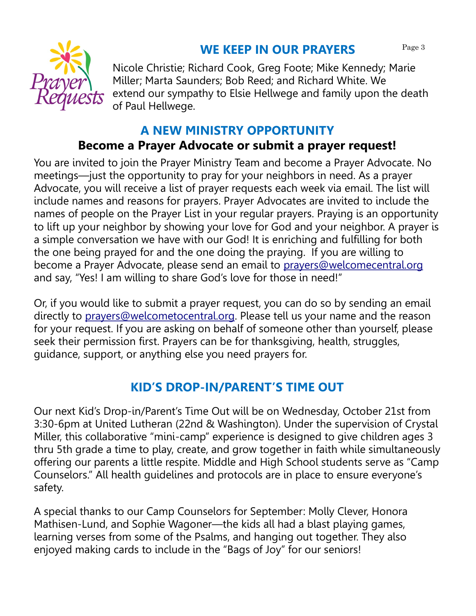#### **WE KEEP IN OUR PRAYERS** Page 3



Nicole Christie; Richard Cook, Greg Foote; Mike Kennedy; Marie Miller; Marta Saunders; Bob Reed; and Richard White. We extend our sympathy to Elsie Hellwege and family upon the death of Paul Hellwege.

#### **A NEW MINISTRY OPPORTUNITY**

#### **Become a Prayer Advocate or submit a prayer request!**

You are invited to join the Prayer Ministry Team and become a Prayer Advocate. No meetings—just the opportunity to pray for your neighbors in need. As a prayer Advocate, you will receive a list of prayer requests each week via email. The list will include names and reasons for prayers. Prayer Advocates are invited to include the names of people on the Prayer List in your regular prayers. Praying is an opportunity to lift up your neighbor by showing your love for God and your neighbor. A prayer is a simple conversation we have with our God! It is enriching and fulfilling for both the one being prayed for and the one doing the praying. If you are willing to become a Prayer Advocate, please send an email to [prayers@welcomecentral.org](mailto:prayers@welcomecentral.org) and say, "Yes! I am willing to share God's love for those in need!"

Or, if you would like to submit a prayer request, you can do so by sending an email directly to [prayers@welcometocentral.org.](mailto:prayers@welcometocentral.org) Please tell us your name and the reason for your request. If you are asking on behalf of someone other than yourself, please seek their permission first. Prayers can be for thanksgiving, health, struggles, guidance, support, or anything else you need prayers for.

# **KID'S DROP-IN/PARENT'S TIME OUT**

Our next Kid's Drop-in/Parent's Time Out will be on Wednesday, October 21st from 3:30-6pm at United Lutheran (22nd & Washington). Under the supervision of Crystal Miller, this collaborative "mini-camp" experience is designed to give children ages 3 thru 5th grade a time to play, create, and grow together in faith while simultaneously offering our parents a little respite. Middle and High School students serve as "Camp Counselors." All health guidelines and protocols are in place to ensure everyone's safety.

A special thanks to our Camp Counselors for September: Molly Clever, Honora Mathisen-Lund, and Sophie Wagoner—the kids all had a blast playing games, learning verses from some of the Psalms, and hanging out together. They also enjoyed making cards to include in the "Bags of Joy" for our seniors!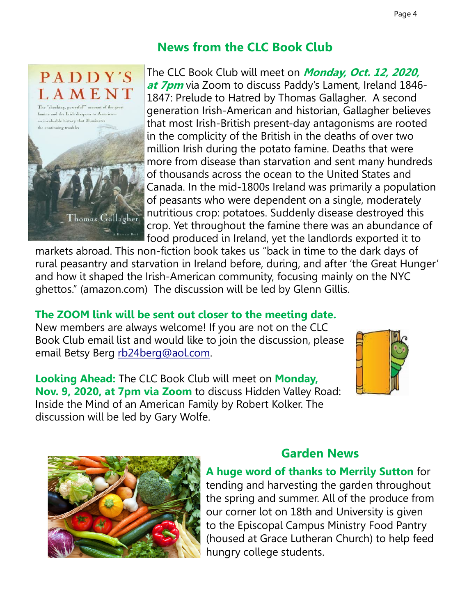# **News from the CLC Book Club**



The CLC Book Club will meet on **Monday, Oct. 12, 2020, at 7pm** via Zoom to discuss Paddy's Lament, Ireland 1846- 1847: Prelude to Hatred by Thomas Gallagher. A second generation Irish-American and historian, Gallagher believes that most Irish-British present-day antagonisms are rooted in the complicity of the British in the deaths of over two million Irish during the potato famine. Deaths that were more from disease than starvation and sent many hundreds of thousands across the ocean to the United States and Canada. In the mid-1800s Ireland was primarily a population of peasants who were dependent on a single, moderately nutritious crop: potatoes. Suddenly disease destroyed this crop. Yet throughout the famine there was an abundance of food produced in Ireland, yet the landlords exported it to

markets abroad. This non-fiction book takes us "back in time to the dark days of rural peasantry and starvation in Ireland before, during, and after 'the Great Hunger' and how it shaped the Irish-American community, focusing mainly on the NYC ghettos." (amazon.com) The discussion will be led by Glenn Gillis.

#### **The ZOOM link will be sent out closer to the meeting date.**

New members are always welcome! If you are not on the CLC Book Club email list and would like to join the discussion, please email Betsy Berg [rb24berg@aol.com.](mailto:rb24berg@aol.com)

**Looking Ahead:** The CLC Book Club will meet on **Monday, Nov. 9, 2020, at 7pm via Zoom** to discuss Hidden Valley Road: Inside the Mind of an American Family by Robert Kolker. The discussion will be led by Gary Wolfe.





## **Garden News**

**A huge word of thanks to Merrily Sutton** for tending and harvesting the garden throughout the spring and summer. All of the produce from our corner lot on 18th and University is given to the Episcopal Campus Ministry Food Pantry (housed at Grace Lutheran Church) to help feed hungry college students.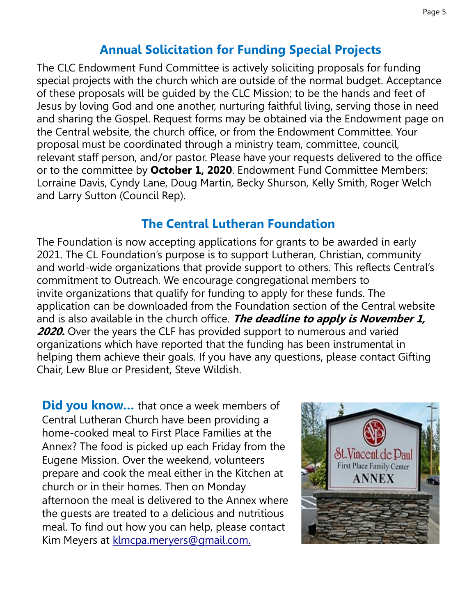#### **Annual Solicitation for Funding Special Projects**

The CLC Endowment Fund Committee is actively soliciting proposals for funding special projects with the church which are outside of the normal budget. Acceptance of these proposals will be guided by the CLC Mission; to be the hands and feet of Jesus by loving God and one another, nurturing faithful living, serving those in need and sharing the Gospel. Request forms may be obtained via the Endowment page on the Central website, the church office, or from the Endowment Committee. Your proposal must be coordinated through a ministry team, committee, council, relevant staff person, and/or pastor. Please have your requests delivered to the office or to the committee by **October 1, 2020**. Endowment Fund Committee Members: Lorraine Davis, Cyndy Lane, Doug Martin, Becky Shurson, Kelly Smith, Roger Welch and Larry Sutton (Council Rep).

#### **The Central Lutheran Foundation**

The Foundation is now accepting applications for grants to be awarded in early 2021. The CL Foundation's purpose is to support Lutheran, Christian, community and world-wide organizations that provide support to others. This reflects Central's commitment to Outreach. We encourage congregational members to invite organizations that qualify for funding to apply for these funds. The application can be downloaded from the Foundation section of the Central website and is also available in the church office. **The deadline to apply is November 1, 2020.** Over the years the CLF has provided support to numerous and varied organizations which have reported that the funding has been instrumental in helping them achieve their goals. If you have any questions, please contact Gifting Chair, Lew Blue or President, Steve Wildish.

**Did you know...** that once a week members of Central Lutheran Church have been providing a home-cooked meal to First Place Families at the Annex? The food is picked up each Friday from the Eugene Mission. Over the weekend, volunteers prepare and cook the meal either in the Kitchen at church or in their homes. Then on Monday afternoon the meal is delivered to the Annex where the guests are treated to a delicious and nutritious meal. To find out how you can help, please contact Kim Meyers at [klmcpa.meryers@gmail.com.](mailto:klmcpa.meyers@gmail.com)

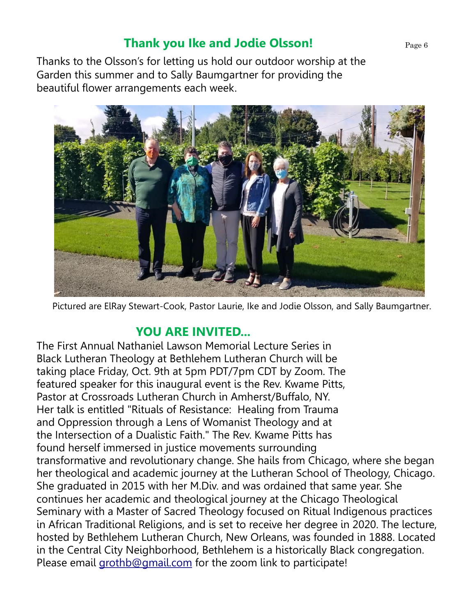#### Page 6

## **Thank you Ike and Jodie Olsson!**

Thanks to the Olsson's for letting us hold our outdoor worship at the Garden this summer and to Sally Baumgartner for providing the beautiful flower arrangements each week.



Pictured are ElRay Stewart-Cook, Pastor Laurie, Ike and Jodie Olsson, and Sally Baumgartner.

#### **YOU ARE INVITED...**

The First Annual Nathaniel Lawson Memorial Lecture Series in Black Lutheran Theology at Bethlehem Lutheran Church will be taking place Friday, Oct. 9th at 5pm PDT/7pm CDT by Zoom. The featured speaker for this inaugural event is the Rev. Kwame Pitts, Pastor at Crossroads Lutheran Church in Amherst/Buffalo, NY. Her talk is entitled "Rituals of Resistance: Healing from Trauma and Oppression through a Lens of Womanist Theology and at the Intersection of a Dualistic Faith." The Rev. Kwame Pitts has found herself immersed in justice movements surrounding transformative and revolutionary change. She hails from Chicago, where she began her theological and academic journey at the Lutheran School of Theology, Chicago. She graduated in 2015 with her M.Div. and was ordained that same year. She continues her academic and theological journey at the Chicago Theological Seminary with a Master of Sacred Theology focused on Ritual Indigenous practices in African Traditional Religions, and is set to receive her degree in 2020. The lecture, hosted by Bethlehem Lutheran Church, New Orleans, was founded in 1888. Located in the Central City Neighborhood, Bethlehem is a historically Black congregation. Please email [grothb@gmail.com](mailto:grothb@gmail.com) for the zoom link to participate!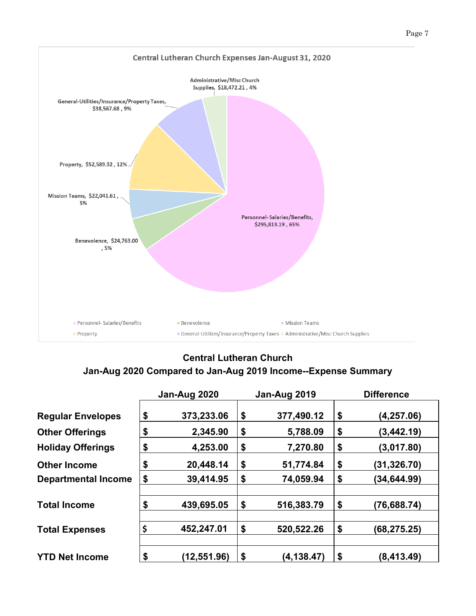



#### **Central Lutheran Church**

#### **Jan-Aug 2020 Compared to Jan-Aug 2019 Income--Expense Summary**

|                            | Jan-Aug 2020      | Jan-Aug 2019      | <b>Difference</b>  |
|----------------------------|-------------------|-------------------|--------------------|
| <b>Regular Envelopes</b>   | \$<br>373,233.06  | \$<br>377,490.12  | \$<br>(4, 257.06)  |
| <b>Other Offerings</b>     | \$<br>2,345.90    | \$<br>5,788.09    | \$<br>(3,442.19)   |
| <b>Holiday Offerings</b>   | \$<br>4,253.00    | \$<br>7,270.80    | \$<br>(3,017.80)   |
| <b>Other Income</b>        | \$<br>20,448.14   | \$<br>51,774.84   | \$<br>(31, 326.70) |
| <b>Departmental Income</b> | \$<br>39,414.95   | \$<br>74,059.94   | \$<br>(34,644.99)  |
| <b>Total Income</b>        | \$<br>439,695.05  | \$<br>516,383.79  | \$<br>(76, 688.74) |
| <b>Total Expenses</b>      | \$<br>452,247.01  | \$<br>520,522.26  | \$<br>(68,275.25)  |
| <b>YTD Net Income</b>      | \$<br>(12,551.96) | \$<br>(4, 138.47) | \$<br>(8, 413.49)  |